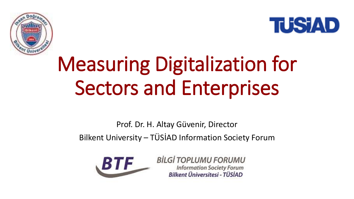



## Measuring Digitalization for Sectors and Enterprises

Prof. Dr. H. Altay Güvenir, Director Bilkent University – TÜSİAD Information Society Forum



**BİLGİ TOPLUMU FORUMU Information Society Forum** Bilkent Üniversitesi - TÜSİAD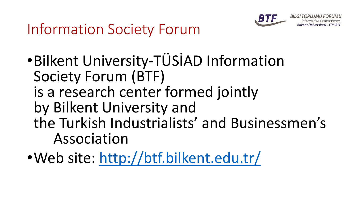

lkent Universitesi - TUSIAD

## Information Society Forum

- •Bilkent University-TÜSİAD Information Society Forum (BTF) is a research center formed jointly by Bilkent University and the Turkish Industrialists' and Businessmen's Association
- •Web site:<http://btf.bilkent.edu.tr/>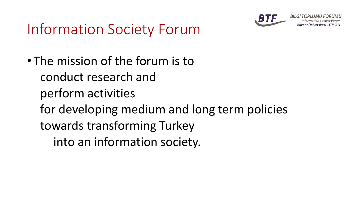

## Information Society Forum

• The mission of the forum is to conduct research and perform activities for developing medium and long term policies towards transforming Turkey into an information society.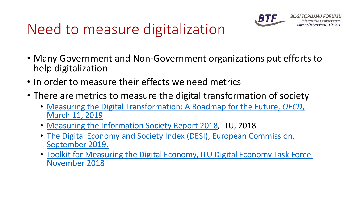## Need to measure digitalization



- Many Government and Non-Government organizations put efforts to help digitalization
- In order to measure their effects we need metrics
- There are metrics to measure the digital transformation of society
	- [Measuring the Digital Transformation: A Roadmap for the Future,](https://www.oecd.org/publications/measuring-the-digital-transformation-9789264311992-en.htm) *OECD*, March 11, 2019
	- [Measuring the Information Society Report 2018,](https://www.itu.int/pub/D-IND-ICTOI) ITU, 2018
	- [The Digital Economy and Society Index \(DESI\), European Commission,](https://ec.europa.eu/digital-single-market/en/desi) September 2019.
	- Toolkit for Measuring the Digital Economy, ITU Digital Economy Task Force, November 2018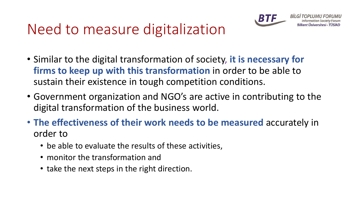## Need to measure digitalization



- Similar to the digital transformation of society, **it is necessary for firms to keep up with this transformation** in order to be able to sustain their existence in tough competition conditions.
- Government organization and NGO's are active in contributing to the digital transformation of the business world.
- **The effectiveness of their work needs to be measured** accurately in order to
	- be able to evaluate the results of these activities,
	- monitor the transformation and
	- take the next steps in the right direction.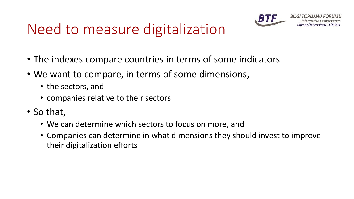## Need to measure digitalization



BİLGİ Bilkent Universitesi - TUSIAD

- The indexes compare countries in terms of some indicators
- We want to compare, in terms of some dimensions,
	- the sectors, and
	- companies relative to their sectors
- So that,
	- We can determine which sectors to focus on more, and
	- Companies can determine in what dimensions they should invest to improve their digitalization efforts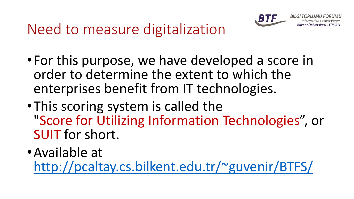

**BILGI TOPLUMU FORUMU Information Society Forum** Bilkent Üniversitesi - TÜSİAD

## Need to measure digitalization

- •For this purpose, we have developed a score in order to determine the extent to which the enterprises benefit from IT technologies.
- •This scoring system is called the "Score for Utilizing Information Technologies", or SUIT for short.
- •Available at

<http://pcaltay.cs.bilkent.edu.tr/~guvenir/BTFS/>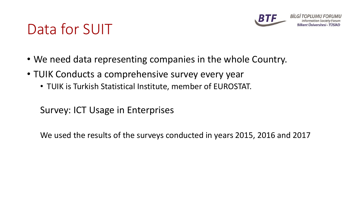

### Data for SUIT

- We need data representing companies in the whole Country.
- TUIK Conducts a comprehensive survey every year
	- TUIK is Turkish Statistical Institute, member of EUROSTAT.

Survey: ICT Usage in Enterprises

We used the results of the surveys conducted in years 2015, 2016 and 2017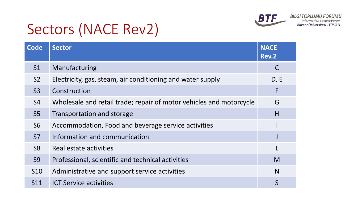

## Sectors (NACE Rev2)

| <b>Code</b>     | <b>Sector</b>                                                       | <b>NACE</b><br><b>Rev.2</b> |
|-----------------|---------------------------------------------------------------------|-----------------------------|
| S <sub>1</sub>  | Manufacturing                                                       | C                           |
| S <sub>2</sub>  | Electricity, gas, steam, air conditioning and water supply          | D, E                        |
| S3              | Construction                                                        | F                           |
| <b>S4</b>       | Wholesale and retail trade; repair of motor vehicles and motorcycle | G                           |
| S <sub>5</sub>  | Transportation and storage                                          | H                           |
| <b>S6</b>       | Accommodation, Food and beverage service activities                 |                             |
| S <sub>7</sub>  | Information and communication                                       |                             |
| S <sub>8</sub>  | Real estate activities                                              |                             |
| S <sub>9</sub>  | Professional, scientific and technical activities                   | M                           |
| S <sub>10</sub> | Administrative and support service activities                       | N                           |
| S11             | <b>ICT Service activities</b>                                       | S                           |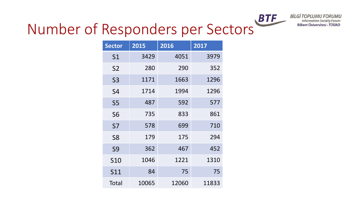

## Number of Responders per Sectors<sup>BTF</sup>

| <b>Sector</b>   | 2015  | 2016  | 2017  |
|-----------------|-------|-------|-------|
| S <sub>1</sub>  | 3429  | 4051  | 3979  |
| S <sub>2</sub>  | 280   | 290   | 352   |
| S <sub>3</sub>  | 1171  | 1663  | 1296  |
| S4              | 1714  | 1994  | 1296  |
| S5              | 487   | 592   | 577   |
| S <sub>6</sub>  | 735   | 833   | 861   |
| S7              | 578   | 699   | 710   |
| S <sub>8</sub>  | 179   | 175   | 294   |
| S9              | 362   | 467   | 452   |
| S <sub>10</sub> | 1046  | 1221  | 1310  |
| S11             | 84    | 75    | 75    |
| Total           | 10065 | 12060 | 11833 |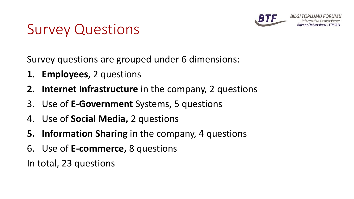

kent Universitesi - TUSIAD

### Survey Questions

Survey questions are grouped under 6 dimensions:

- **1. Employees**, 2 questions
- **2. Internet Infrastructure** in the company, 2 questions
- 3. Use of **E-Government** Systems, 5 questions
- 4. Use of **Social Media,** 2 questions
- **5. Information Sharing** in the company, 4 questions
- 6. Use of **E-commerce,** 8 questions

In total, 23 questions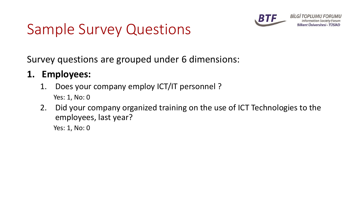

**BİLGİ TOPLUMU FORUMU** Bilkent Üniversitesi - TÜSİAD

## Sample Survey Questions

Survey questions are grouped under 6 dimensions:

#### **1. Employees:**

- 1. Does your company employ ICT/IT personnel ? Yes: 1, No: 0
- 2. Did your company organized training on the use of ICT Technologies to the employees, last year?

Yes: 1, No: 0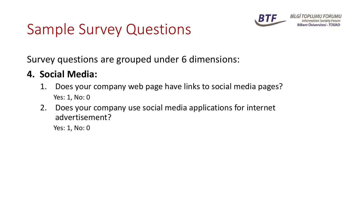

**BİLGİ TOPLUMU** Bilkent Üniversitesi - TÜSİAD

## Sample Survey Questions

Survey questions are grouped under 6 dimensions:

#### **4. Social Media:**

- 1. Does your company web page have links to social media pages? Yes: 1, No: 0
- 2. Does your company use social media applications for internet advertisement?

Yes: 1, No: 0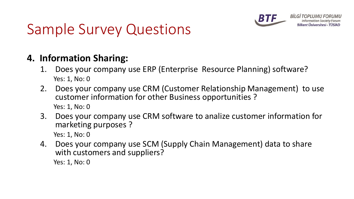

**BİLGİ TOPLUM** Bilkent Universitesi - TUSIAD

## Sample Survey Questions

#### **4. Information Sharing:**

- 1. Does your company use ERP (Enterprise Resource Planning) software? Yes: 1, No: 0
- 2. Does your company use CRM (Customer Relationship Management) to use customer information for other Business opportunities ? Yes: 1, No: 0
- 3. Does your company use CRM software to analize customer information for marketing purposes ?

Yes: 1, No: 0

4. Does your company use SCM (Supply Chain Management) data to share with customers and suppliers? Yes: 1, No: 0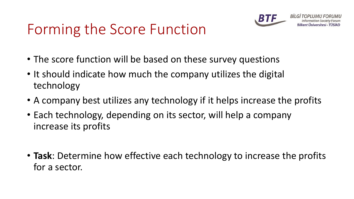## Forming the Score Function



- The score function will be based on these survey questions
- It should indicate how much the company utilizes the digital technology
- A company best utilizes any technology if it helps increase the profits
- Each technology, depending on its sector, will help a company increase its profits
- **Task**: Determine how effective each technology to increase the profits for a sector.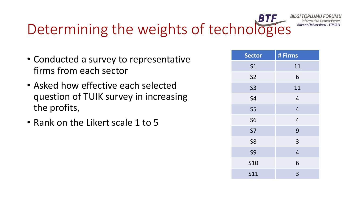## Determining the weights of technologies

- Conducted a survey to representative firms from each sector
- Asked how effective each selected question of TUIK survey in increasing the profits,
- Rank on the Likert scale 1 to 5

| <b>Sector</b>  | # Firms        |
|----------------|----------------|
| S <sub>1</sub> | 11             |
| S <sub>2</sub> | 6              |
| <b>S3</b>      | 11             |
| <b>S4</b>      | 4              |
| S <sub>5</sub> | $\overline{4}$ |
| <b>S6</b>      | $\overline{4}$ |
| <b>S7</b>      | 9              |
| S <sub>8</sub> | 3              |
| <b>S9</b>      | $\overline{4}$ |
| <b>S10</b>     | 6              |
| <b>S11</b>     | 3              |

**BİLGİ TOPL** 

**Information Society** Bilkent Üniversitesi - TÜSİAD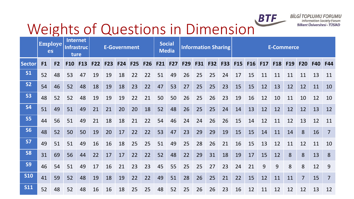

**BİLGİ TOPLUMU FORUMU Information Society Forum** Bilkent Üniversitesi - TÜSİAD

# Weights of Questions in Dimension<sup>BTF</sup>

|               | <b>Employe</b><br>es |                | Internet<br>ture | <b>Infrastruc</b> |            |            | <b>E-Government</b> |     |     |    | <b>Social</b><br><b>Media</b> |             | <b>Information Sharing</b> |    |    | <b>E-Commerce</b> |         |    |            |            |                |            |                |
|---------------|----------------------|----------------|------------------|-------------------|------------|------------|---------------------|-----|-----|----|-------------------------------|-------------|----------------------------|----|----|-------------------|---------|----|------------|------------|----------------|------------|----------------|
| <b>Sector</b> | F1                   | F <sub>2</sub> |                  | F10 F13           | <b>F22</b> | <b>F23</b> | <b>F24</b>          | F25 | F26 |    |                               | F21 F27 F29 |                            |    |    | F31 F32 F33 F15   | F16 F17 |    | <b>F18</b> | <b>F19</b> | <b>F20</b>     | <b>F40</b> | <b>F44</b>     |
| <b>S1</b>     | 52                   | 48             | 53               | 47                | 19         | 19         | 18                  | 22  | 22  | 51 | 49                            | 26          | 25                         | 25 | 24 | 17                | 15      | 11 | 11         | 11         | 11             | 13         | 11             |
| <b>S2</b>     | 54                   | 46             | 52               | 48                | 18         | 19         | 18                  | 23  | 22  | 47 | 53                            | 27          | 25                         | 25 | 23 | 15                | 15      | 12 | 13         | 12         | 12             | 11         | 10             |
| <b>S3</b>     | 48                   | 52             | 52               | 48                | 19         | 19         | 19                  | 22  | 21  | 50 | 50                            | 26          | 25                         | 26 | 23 | 19                | 16      | 12 | 10         | 11         | 10             | 12         | 10             |
| <b>S4</b>     | 51                   | 49             | 51               | 49                | 21         | 21         | 20                  | 20  | 18  | 52 | 48                            | 26          | 25                         | 25 | 24 | 14                | 13      | 12 | 12         | 12         | 12             | 13         | 12             |
| <b>S5</b>     | 44                   | 56             | 51               | 49                | 21         | 18         | 18                  | 21  | 22  | 54 | 46                            | 24          | 24                         | 26 | 26 | 15                | 14      | 12 | 11         | 12         | 13             | 12         | 11             |
| <b>S6</b>     | 48                   | 52             | 50               | 50                | 19         | 20         | 17                  | 22  | 22  | 53 | 47                            | 23          | 29                         | 29 | 19 | 15                | 15      | 14 | 11         | 14         | 8              | 16         | $\overline{7}$ |
| <b>S7</b>     | 49                   | 51             | 51               | 49                | 16         | 16         | 18                  | 25  | 25  | 51 | 49                            | 25          | 28                         | 26 | 21 | 16                | 15      | 13 | 12         | 11         | 12             | 11         | 10             |
| <b>S8</b>     | 31                   | 69             | 56               | 44                | 22         | 17         | 17                  | 22  | 22  | 52 | 48                            | 22          | 29                         | 31 | 18 | 19                | 17      | 15 | 12         | 8          | 8              | 13         | 8              |
| <b>S9</b>     | 46                   | 54             | 51               | 49                | 17         | 16         | 21                  | 23  | 23  | 45 | 55                            | 25          | 25                         | 27 | 23 | 24                | 21      | 9  | 9          | 8          | 8              | 12         | 9              |
| <b>S10</b>    | 41                   | 59             | 52               | 48                | 19         | 18         | 19                  | 22  | 22  | 49 | 51                            | 28          | 26                         | 25 | 21 | 22                | 15      | 12 | 11         | 11         | $\overline{7}$ | 15         | $\overline{7}$ |
| <b>S11</b>    | 52                   | 48             | 52               | 48                | 16         | 16         | 18                  | 25  | 25  | 48 | 52                            | 25          | 26                         | 26 | 23 | 16                | 12      | 11 | 12         | 12         | 12             | 13         | 12             |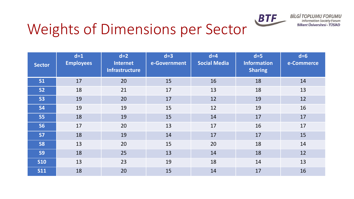

## Weights of Dimensions per Sector

| <b>Sector</b> | $d=1$<br><b>Employees</b> | $d=2$<br><b>Internet</b><br><b>Infrastructure</b> | $d=3$<br>e-Government | $d=4$<br><b>Social Media</b> | $d=5$<br><b>Information</b><br><b>Sharing</b> | $d=6$<br>e-Commerce |
|---------------|---------------------------|---------------------------------------------------|-----------------------|------------------------------|-----------------------------------------------|---------------------|
| <b>S1</b>     | 17                        | 20                                                | 15                    | 16                           | 18                                            | 14                  |
| <b>S2</b>     | 18                        | 21                                                | 17                    | 13                           | 18                                            | 13                  |
| <b>S3</b>     | 19                        | 20                                                | 17                    | 12                           | 19                                            | 12                  |
| <b>S4</b>     | 19                        | 19                                                | 15                    | 12                           | 19                                            | 16                  |
| <b>S5</b>     | 18                        | 19                                                | 15                    | 14                           | 17                                            | 17                  |
| <b>S6</b>     | 17                        | 20                                                | 13                    | 17                           | 16                                            | 17                  |
| <b>S7</b>     | 18                        | 19                                                | 14                    | 17                           | 17                                            | 15                  |
| <b>S8</b>     | 13                        | 20                                                | 15                    | 20                           | 18                                            | 14                  |
| <b>S9</b>     | 18                        | 25                                                | 13                    | 14                           | 18                                            | 12                  |
| <b>S10</b>    | 13                        | 23                                                | 19                    | 18                           | 14                                            | 13                  |
| <b>S11</b>    | 18                        | 20                                                | 15                    | 14                           | 17                                            | 16                  |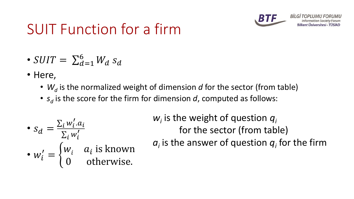

**BILGI TOPI** 

## SUIT Function for a firm

- $SUIT = \sum_{d=1}^{6} W_d s_d$
- Here,
	- $W_d$  is the normalized weight of dimension *d* for the sector (from table)
	- *s<sup>d</sup>* is the score for the firm for dimension *d*, computed as follows:

• 
$$
s_d = \frac{\sum_i w'_i \cdot a_i}{\sum_i w'_i}
$$
  
•  $w'_i = \begin{cases} w_i & a_i \text{ is known} \\ 0 & \text{otherwise.} \end{cases}$ 

*wi* is the weight of question *q<sup>i</sup>* for the sector (from table)  $a_i$  is the answer of question  $q_i$  for the firm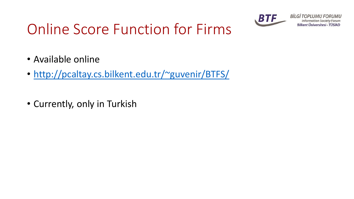

**BİLGİ TOPLUMU FORUMU Information Society Forum** Bilkent Üniversitesi - TÜSİAD

## Online Score Function for Firms

- Available online
- <http://pcaltay.cs.bilkent.edu.tr/~guvenir/BTFS/>
- Currently, only in Turkish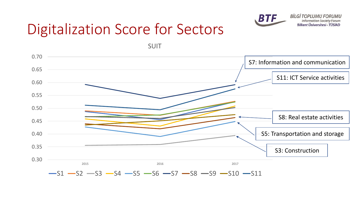

**BİLGİ TOPLUMU FORUMU Information Society Forum** Bilkent Üniversitesi - TÜSİAD

## Digitalization Score for Sectors

SUIT

0.30 0.35 0.40 0.45 0.50 0.55 0.60 0.65 0.70 2015 2016 2017  $-S1 - S2 - S3 - S4 - S5 - S6 - S7 - S8 - S9 - S10 - S11$ S7: Information and communication S3: Construction S11: ICT Service activities S5: Transportation and storage S8: Real estate activities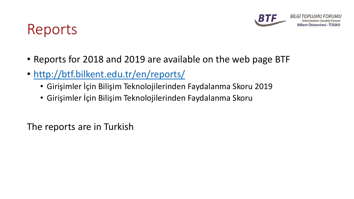

### Reports

- Reports for 2018 and 2019 are available on the web page BTF
- <http://btf.bilkent.edu.tr/en/reports/>
	- Girişimler İçin Bilişim Teknolojilerinden Faydalanma Skoru 2019
	- Girişimler İçin Bilişim Teknolojilerinden Faydalanma Skoru

The reports are in Turkish